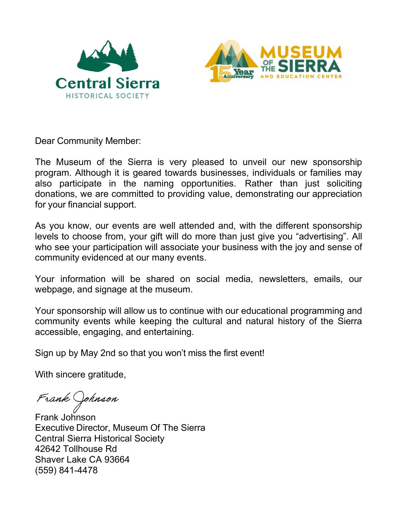



Dear Community Member:

The Museum of the Sierra is very pleased to unveil our new sponsorship program. Although it is geared towards businesses, individuals or families may also participate in the naming opportunities. Rather than just soliciting donations, we are committed to providing value, demonstrating our appreciation for your financial support.

As you know, our events are well attended and, with the different sponsorship levels to choose from, your gift will do more than just give you "advertising". All who see your participation will associate your business with the joy and sense of community evidenced at our many events.

Your information will be shared on social media, newsletters, emails, our webpage, and signage at the museum.

Your sponsorship will allow us to continue with our educational programming and community events while keeping the cultural and natural history of the Sierra accessible, engaging, and entertaining.

Sign up by May 2nd so that you won't miss the first event!

With sincere gratitude,

Frank Johnson

Frank Johnson Executive Director, Museum Of The Sierra Central Sierra Historical Society 42642 Tollhouse Rd Shaver Lake CA 93664 (559) 841-4478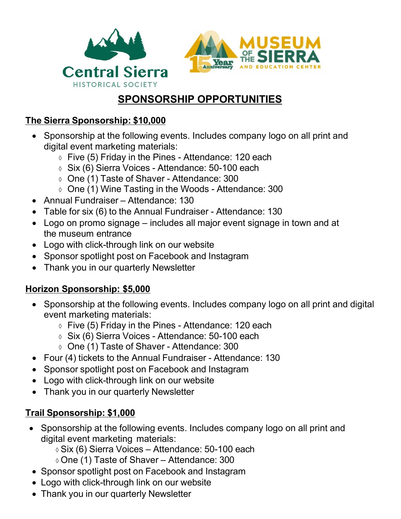



# **SPONSORSHIP OPPORTUNITIES**

#### **The Sierra Sponsorship: \$10,000**

- Sponsorship at the following events. Includes company logo on all print and digital event marketing materials:
	- ◊ Five (5) Friday in the Pines Attendance: 120 each
	- ◊ Six (6) Sierra Voices Attendance: 50-100 each
	- ◊ One (1) Taste of Shaver Attendance: 300
	- ◊ One (1) Wine Tasting in the Woods Attendance: 300
- Annual Fundraiser Attendance: 130
- Table for six (6) to the Annual Fundraiser Attendance: 130
- Logo on promo signage includes all major event signage in town and at the museum entrance
- Logo with click-through link on our website
- Sponsor spotlight post on Facebook and Instagram
- Thank you in our quarterly Newsletter

### **Horizon Sponsorship: \$5,000**

- Sponsorship at the following events. Includes company logo on all print and digital event marketing materials:
	- $\circ$  Five (5) Friday in the Pines Attendance: 120 each
	- ◊ Six (6) Sierra Voices Attendance: 50-100 each
	- ◊ One (1) Taste of Shaver Attendance: 300
- Four (4) tickets to the Annual Fundraiser Attendance: 130
- Sponsor spotlight post on Facebook and Instagram
- Logo with click-through link on our website
- Thank you in our quarterly Newsletter

## **Trail Sponsorship: \$1,000**

- Sponsorship at the following events. Includes company logo on all print and digital event marketing materials:
	- ◊ Six (6) Sierra Voices Attendance: 50-100 each
	- ◊ One (1) Taste of Shaver Attendance: 300
- Sponsor spotlight post on Facebook and Instagram
- Logo with click-through link on our website
- Thank you in our quarterly Newsletter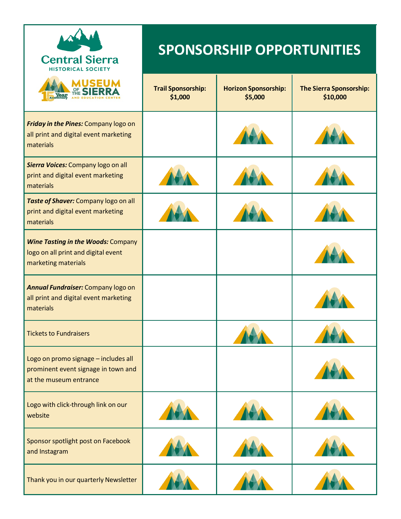| <b>Central Sierra</b><br><b>HISTORICAL SOCIETY</b>                                                      | <b>SPONSORSHIP OPPORTUNITIES</b>     |                                        |                                            |
|---------------------------------------------------------------------------------------------------------|--------------------------------------|----------------------------------------|--------------------------------------------|
| USEU                                                                                                    | <b>Trail Sponsorship:</b><br>\$1,000 | <b>Horizon Sponsorship:</b><br>\$5,000 | <b>The Sierra Sponsorship:</b><br>\$10,000 |
| Friday in the Pines: Company logo on<br>all print and digital event marketing<br>materials              |                                      |                                        |                                            |
| Sierra Voices: Company logo on all<br>print and digital event marketing<br>materials                    |                                      |                                        |                                            |
| Taste of Shaver: Company logo on all<br>print and digital event marketing<br>materials                  |                                      |                                        |                                            |
| <b>Wine Tasting in the Woods: Company</b><br>logo on all print and digital event<br>marketing materials |                                      |                                        |                                            |
| Annual Fundraiser: Company logo on<br>all print and digital event marketing<br>materials                |                                      |                                        |                                            |
| <b>Tickets to Fundraisers</b>                                                                           |                                      |                                        |                                            |
| Logo on promo signage - includes all<br>prominent event signage in town and<br>at the museum entrance   |                                      |                                        |                                            |
| Logo with click-through link on our<br>website                                                          |                                      |                                        |                                            |
| Sponsor spotlight post on Facebook<br>and Instagram                                                     |                                      |                                        |                                            |
| Thank you in our quarterly Newsletter                                                                   |                                      |                                        |                                            |